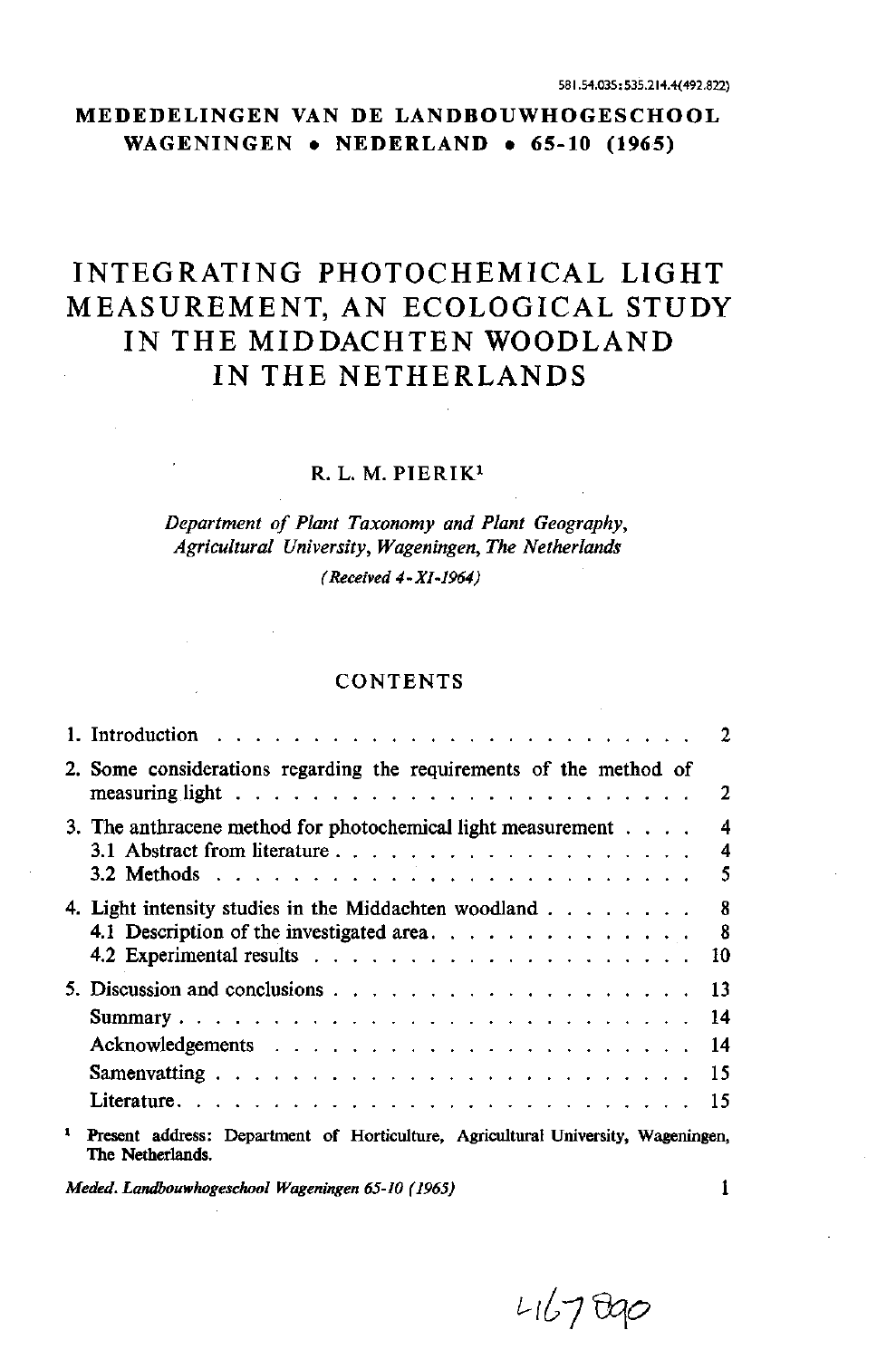# **MEDEDELINGEN VAN DE LANDBOUWHOGESCHOOL WAGENINGEN • NEDERLAND • 65-10 (1965)**

# INTEGRATING PHOTOCHEMICAL LIGHT MEASUREMENT, AN ECOLOGICAL STUDY IN THE MIDDACHTEN WOODLAND IN THE NETHERLANDS

# R. L. M. PIERIK<sup>1</sup>

# *Department of Plant Taxonomy and Plant Geography, Agricultural University, Wageningen, The Netherlands (Received 4-XI-1964)*

## **CONTENTS**

|                                                                                                       | 2                                 |
|-------------------------------------------------------------------------------------------------------|-----------------------------------|
| 2. Some considerations regarding the requirements of the method of                                    | 2                                 |
| 3. The anthracene method for photochemical light measurement                                          | $\overline{\mathbf{4}}$<br>4<br>5 |
| 4. Light intensity studies in the Middachten woodland                                                 | 8<br>-8<br>10                     |
|                                                                                                       | 13<br>14<br>14<br>15<br>15        |
| Present address: Department of Horticulture, Agricultural University, Wageningen,<br>The Netherlands. |                                   |

*Llù-J&P*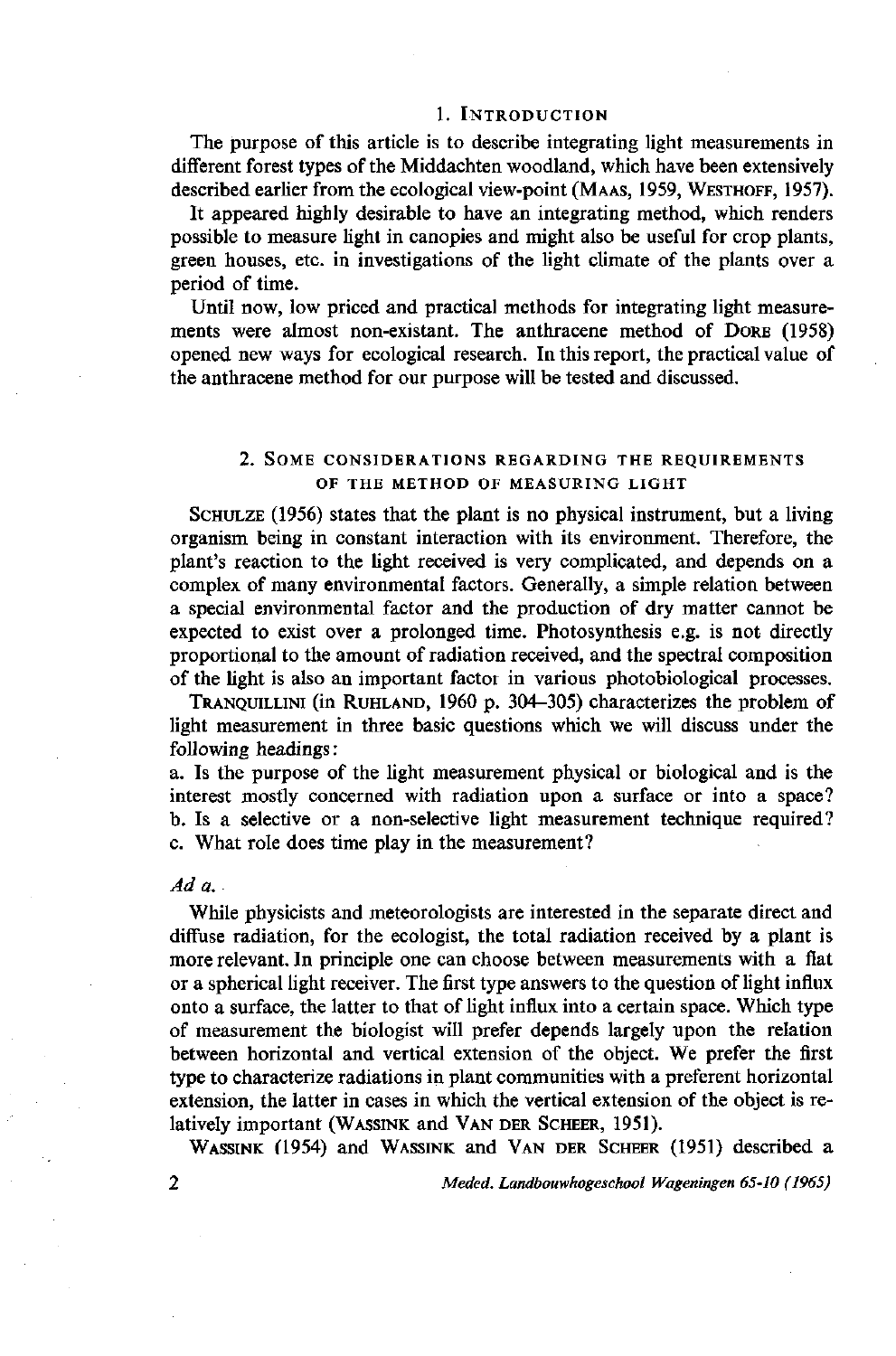#### 1. INTRODUCTION

The purpose of this article is to describe integrating light measurements in different forest types of the Middachten woodland, which have been extensively described earlier from the ecological view-point (MAAS, 1959, WESTHOFF, 1957).

It appeared highly desirable to have an integrating method, which renders possible to measure light in canopies and might also be useful for crop plants, green houses, etc. in investigations of the light climate of the plants over a period of time.

Until now, low priced and practical methods for integrating light measurements were almost non-existant. The anthracene method of DORE (1958) opened new ways for ecological research. In this report, the practical value of the anthracene method for our purpose will be tested and discussed.

#### 2. SOME CONSIDERATIONS REGARDING THE REQUIREMENTS OF THE METHOD OF MEASURING LIGHT

SCHULZE (1956) states that the plant is no physical instrument, but a living organism being in constant interaction with its environment. Therefore, the plant's reaction to the light received is very complicated, and depends on a complex of many environmental factors. Generally, a simple relation between a special environmental factor and the production of dry matter cannot be expected to exist over a prolonged time. Photosynthesis e.g. is not directly proportional to the amount of radiation received, and the spectral composition of the light is also an important factor in various photobiological processes.

TRANQUILLINI (in RUHLAND, 1960 p. 304-305) characterizes the problem of light measurement in three basic questions which we will discuss under the following headings :

a. Is the purpose of the light measurement physical or biological and is the interest mostly concerned with radiation upon a surface or into a space? b. Is a selective or a non-selective light measurement technique required? c. What role does time play in the measurement?

## *Ad a.*

While physicists and meteorologists are interested in the separate direct and diffuse radiation, for the ecologist, the total radiation received by a plant is more relevant. In principle one can choose between measurements with a flat or a spherical light receiver. The first type answers to the question of light influx onto a surface, the latter to that of light influx into a certain space. Which type of measurement the biologist will prefer depends largely upon the relation between horizontal and vertical extension of the object. We prefer the first type to characterize radiations in plant communities with a preferent horizontal extension, the latter in cases in which the vertical extension of the object is relatively important (WASSINK and VAN DER SCHEER, 1951).

WASSINK (1954) and WASSINK and VAN DER SCHEER (1951) described a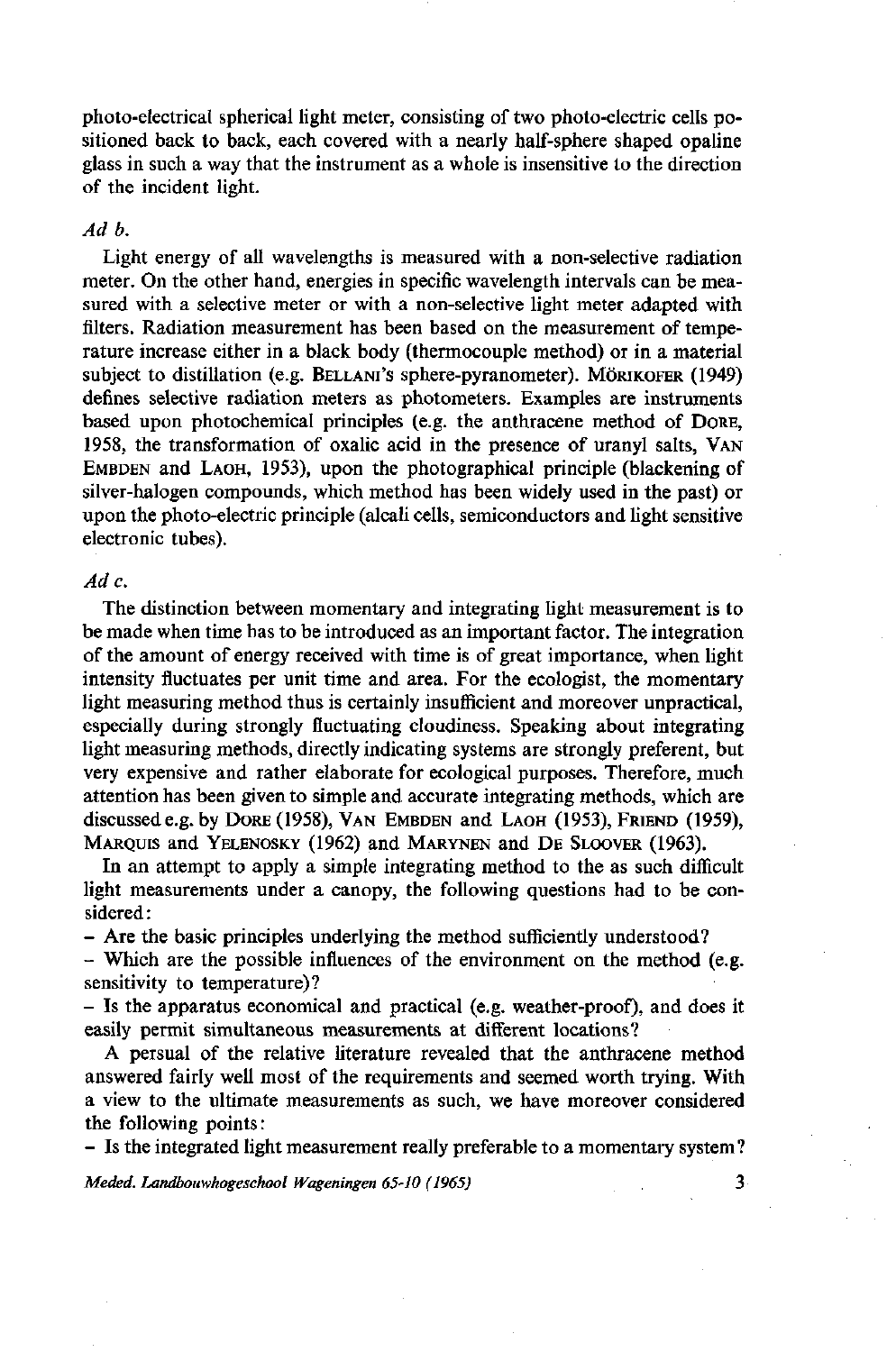photo-electrical spherical light meter, consisting of two photo-electric cells positioned back to back, each covered with a nearly half-sphere shaped opaline glass in such a way that the instrument as a whole is insensitive to the direction of the incident light.

# *Ad b.*

Light energy of all wavelengths is measured with a non-selective radiation meter. On the other hand, energies in specific wavelength intervals can be measured with a selective meter or with a non-selective light meter adapted with filters. Radiation measurement has been based on the measurement of temperature increase either in a black body (thermocouple method) or in a material subject to distillation (e.g. BELLANI'S sphere-pyranometer). MÖRIKOFER (1949) defines selective radiation meters as photometers. Examples are instruments based upon photochemical principles (e.g. the anthracene method of DORE, 1958, the transformation of oxalic acid in the presence of uranyl salts, VAN EMBDEN and LAOH, 1953), upon the photographical principle (blackening of silver-halogen compounds, which method has been widely used in the past) or upon the photo-electric principle (alcali cells, semiconductors and light sensitive electronic tubes).

## *Ad c.*

The distinction between momentary and integrating light measurement is to be made when time has to be introduced as an important factor. The integration of the amount of energy received with time is of great importance, when light intensity fluctuates per unit time and area. For the ecologist, the momentary light measuring method thus is certainly insufficient and moreover unpractical, especially during strongly fluctuating cloudiness. Speaking about integrating light measuring methods, directly indicating systems are strongly preferent, but very expensive and rather elaborate for ecological purposes. Therefore, much attention has been given to simple and accurate integrating methods, which are discussed e.g. by DORE (1958), VAN EMBDEN and LAOH (1953), FRIEND (1959), MARQUIS and YELENOSKY (1962) and MARYNEN and DE SLOOVER (1963).

In an attempt to apply a simple integrating method to the as such difficult light measurements under a canopy, the following questions had to be considered :

- Are the basic principles underlying the method sufficiently understood?

- Which are the possible influences of the environment on the method (e.g. sensitivity to temperature)?

- Is the apparatus economical and practical (e.g. weather-proof), and does it easily permit simultaneous measurements at different locations?

A persual of the relative literature revealed that the anthracene method answered fairly well most of the requirements and seemed worth trying. With a view to the ultimate measurements as such, we have moreover considered the following points:

- Is the integrated light measurement really preferable to a momentary system?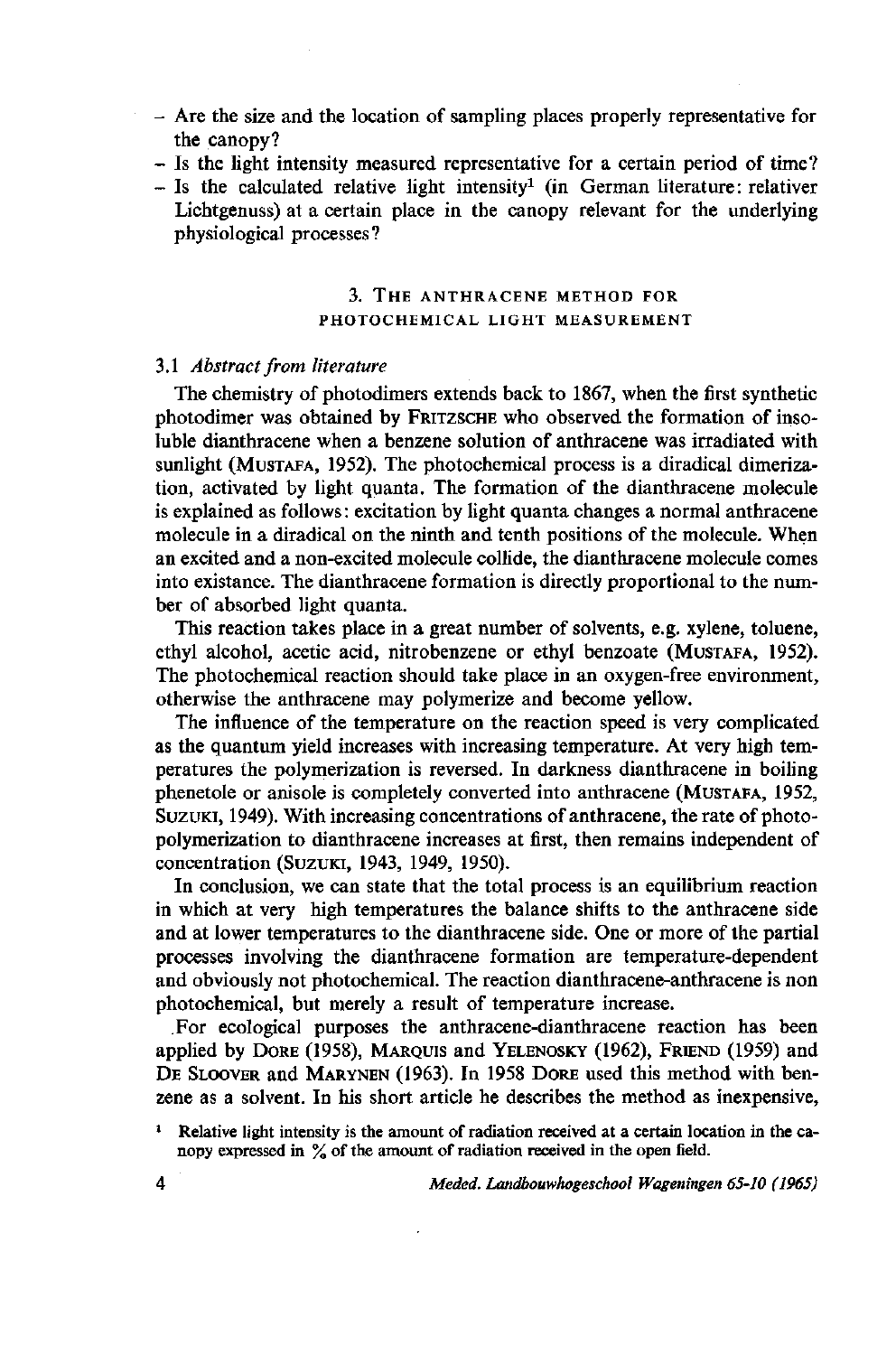- Are the size and the location of sampling places properly representative for the canopy?
- Is the light intensity measured representative for a certain period of time?
- $-$  Is the calculated relative light intensity<sup>1</sup> (in German literature: rel Lichtgenuss) at a certain place in the canopy relevant for the underlying physiological processes?

# 3. THE ANTHRACENE METHOD FOR PHOTOCHEMICAL LIGHT MEASUREMENT

#### 3.1 *Abstract from literature*

The chemistry of photodimers extends back to 1867, when the first synthetic photodimer was obtained by FRITZSCHE who observed the formation of insoluble dianthracene when a benzene solution of anthracene was irradiated with sunlight (MUSTAFA, 1952). The photochemical process is a diradical dimerization, activated by light quanta. The formation of the dianthracene molecule is explained as follows : excitation by light quanta changes a normal anthracene molecule in a diradical on the ninth and tenth positions of the molecule. When an excited and a non-excited molecule collide, the dianthracene molecule comes into existance. The dianthracene formation is directly proportional to the number of absorbed light quanta.

This reaction takes place in a great number of solvents, e.g. xylene, toluene, ethyl alcohol, acetic acid, nitrobenzene or ethyl benzoate (MUSTAFA, 1952). The photochemical reaction should take place in an oxygen-free environment, otherwise the anthracene may polymerize and become yellow.

The influence of the temperature on the reaction speed is very complicated as the quantum yield increases with increasing temperature. At very high temperatures the polymerization is reversed. In darkness dianthracene in boiling phenetole or anisole is completely converted into anthracene (MUSTAFA, 1952, SUZUKI, 1949). With increasing concentrations of anthracene, the rate of photopolymerization to dianthracene increases at first, then remains independent of concentration (SUZUKI, 1943, 1949, 1950).

In conclusion, we can state that the total process is an equilibrium reaction in which at very high temperatures the balance shifts to the anthracene side and at lower temperatures to the dianthracene side. One or more of the partial processes involving the dianthracene formation are temperature-dependent and obviously not photochemical. The reaction dianthracene-anthracene is non photochemical, but merely a result of temperature increase.

For ecological purposes the anthracene-dianthracene reaction has been applied by DORE (1958), MARQUIS and YELENOSKY (1962), FRIEND (1959) and DE SLOOVER and MARYNEN (1963). In 1958 DORE used this method with benzene as a solvent. In his short article he describes the method as inexpensive,

<sup>&</sup>lt;sup>1</sup> Relative light intensity is the amount of radiation received at a certain location nopy expressed in  $\%$  of the amount of radiation received in the open field.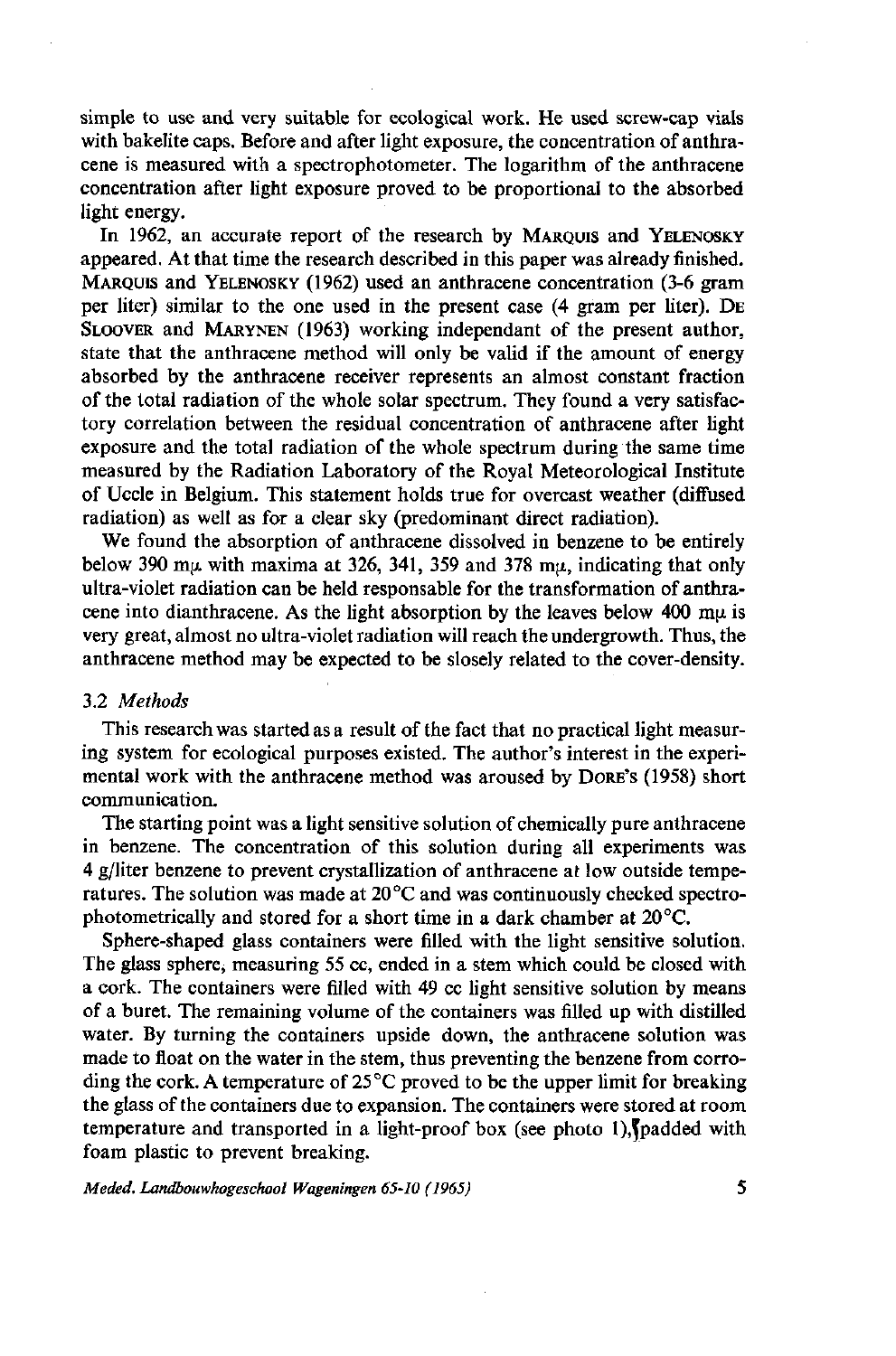simple to use and very suitable for ecological work. He used screw-cap vials with bakélite caps. Before and after light exposure, the concentration of anthracene is measured with a spectrophotometer. The logarithm of the anthracene concentration after light exposure proved to be proportional to the absorbed light energy.

In 1962, an accurate report of the research by MARQUIS and YELENOSKY appeared. At that time the research described in this paper was already finished. MARQUIS and YELENOSKY (1962) used an anthracene concentration (3-6 gram per liter) similar to the one used in the present case (4 gram per liter). DE SLOOVER and MARYNEN (1963) working independant of the present author, state that the anthracene method will only be valid if the amount of energy absorbed by the anthracene receiver represents an almost constant fraction of the total radiation of the whole solar spectrum. They found a very satisfactory correlation between the residual concentration of anthracene after light exposure and the total radiation of the whole spectrum during the same time measured by the Radiation Laboratory of the Royal Meteorological Institute of Uccle in Belgium. This statement holds true for overcast weather (diffused radiation) as well as for a clear sky (predominant direct radiation).

We found the absorption of anthracene dissolved in benzene to be entirely below 390 m $\mu$  with maxima at 326, 341, 359 and 378 m $\mu$ , indicating that only ultra-violet radiation can be held responsable for the transformation of anthracene into dianthracene. As the light absorption by the leaves below 400 m $\mu$  is very great, almost no ultra-violet radiation will reach the undergrowth. Thus, the anthracene method may be expected to be slosely related to the cover-density.

## 3.2 *Methods*

This research was started as a result of the fact that no practical light measuring system for ecological purposes existed. The author's interest in the experimental work with the anthracene method was aroused by DORE'S (1958) short communication.

The starting point was a light sensitive solution of chemically pure anthracene in benzene. The concentration of this solution during all experiments was 4 g/liter benzene to prevent crystallization of anthracene at low outside temperatures. The solution was made at  $20^{\circ}$ C and was continuously checked spectrophotometrically and stored for a short time in a dark chamber at 20 °C.

Sphere-shaped glass containers were filled with the light sensitive solution. The glass sphere, measuring 55 cc, ended in a stem which could be closed with a cork. The containers were filled with 49 cc light sensitive solution by means of a buret. The remaining volume of the containers was filled up with distilled water. By turning the containers upside down, the anthracene solution was made to float on the water in the stem, thus preventing the benzene from corroding the cork. A temperature of  $25^{\circ}$ C proved to be the upper limit for breaking the glass of the containers due to expansion. The containers were stored at room temperature and transported in a light-proof box (see photo 1), padded with foam plastic to prevent breaking.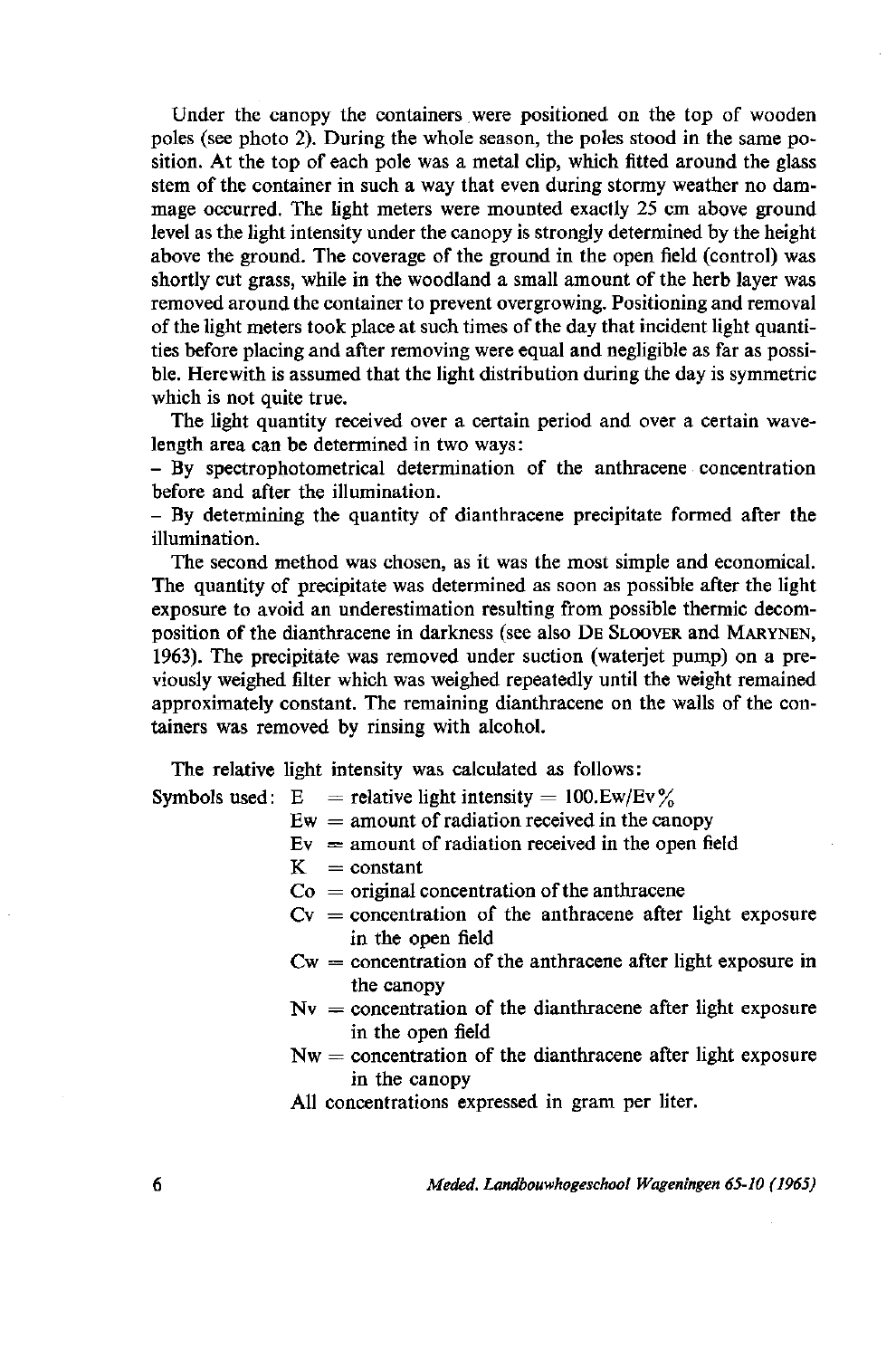Under the canopy the containers were positioned on the top of wooden poles (see photo 2). During the whole season, the poles stood in the same position. At the top of each pole was a metal clip, which fitted around the glass stem of the container in such a way that even during stormy weather no dammage occurred. The light meters were mounted exactly 25 cm above ground level as the light intensity under the canopy is strongly determined by the height above the ground. The coverage of the ground in the open field (control) was shortly cut grass, while in the woodland a small amount of the herb layer was removed around the container to prevent overgrowing. Positioning and removal of the light meters took place at such times of the day that incident light quantities before placing and after removing were equal and negligible as far as possible. Herewith is assumed that the light distribution during the day is symmetric which is not quite true.

The light quantity received over a certain period and over a certain wavelength area can be determined in two ways :

- By spectrophotometrical determination of the anthracene concentration before and after the illumination.

- By determining the quantity of dianthracene precipitate formed after the illumination.

The second method was chosen, as it was the most simple and economical. The quantity of precipitate was determined as soon as possible after the light exposure to avoid an underestimation resulting from possible thermic decomposition of the dianthracene in darkness (see also DE SLOOVER and MARYNEN, 1963). The precipitate was removed under suction (waterjet pump) on a previously weighed filter which was weighed repeatedly until the weight remained approximately constant. The remaining dianthracene on the walls of the containers was removed by rinsing with alcohol.

The relative light intensity was calculated as follows:

Symbols used:  $E$  = relative light intensity = 100.Ew/Ev%

- $Ew =$  amount of radiation received in the canopy
- $Ev =$  amount of radiation received in the open field
- $K = constant$
- $Co = original concentration of the anthracene$
- $Cv =$  concentration of the anthracene after light exposure in the open field
- $Cw =$  concentration of the anthracene after light exposure in the canopy
- $Nv =$  concentration of the dianthracene after light exposure in the open field
- $Nw =$  concentration of the dianthracene after light exposure in the canopy

All concentrations expressed in gram per liter.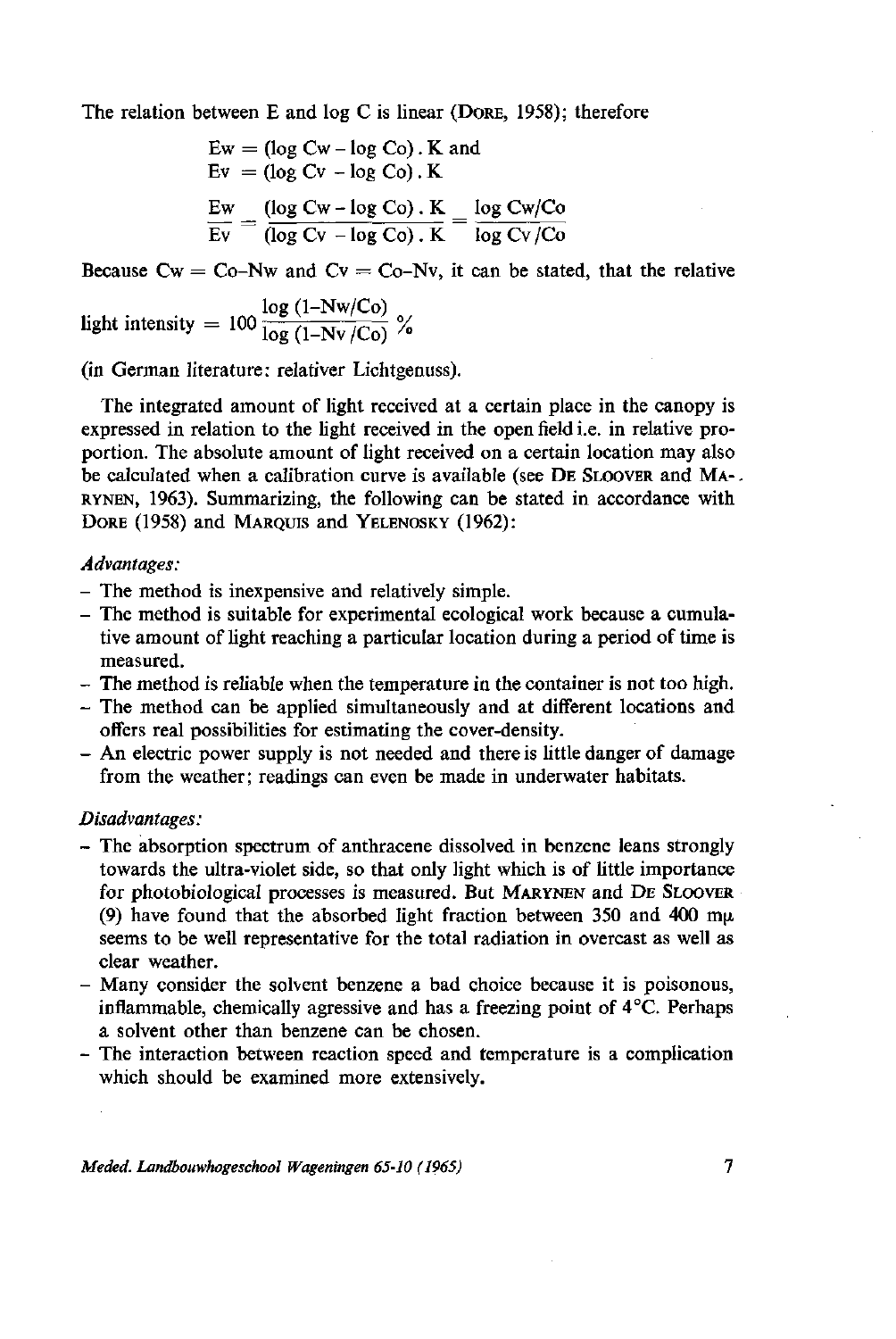The relation between E and log C is linear (DORE, 1958); therefore

$$
Ew = (\log Cw - \log Co). K \text{ and}
$$
  
\n
$$
Ev = (\log Cv - \log Co). K
$$
  
\n
$$
\frac{Ew}{Ev} = \frac{(\log Cw - \log Co). K}{(\log Cv - \log Co). K} = \frac{\log Cw/Co}{\log Cv/Co}
$$

Because  $Cw = Co-Nw$  and  $Cv = Co-Nv$ , it can be stated, that the relative

log (1-Nw/Co) light intensity =  $100 \frac{1}{\log (1 - N_v / C_0)}$ 

(in German literature: relativer Lichtgenuss).

The integrated amount of light received at a certain place in the canopy is expressed in relation to the light received in the open field i.e. in relative proportion. The absolute amount of light received on a certain location may also be calculated when a calibration curve is available (see DE SLOOVER and MA-. RYNEN, 1963). Summarizing, the following can be stated in accordance with DORE (1958) and MARQUIS and YELENOSKY (1962):

## *Advantages:*

- *-* The method is inexpensive and relatively simple.
- The method is suitable for experimental ecological work because a cumulative amount of light reaching a particular location during a period of time is measured.
- The method is reliable when the temperature in the container is not too high.
- The method can be applied simultaneously and at different locations and offers real possibilities for estimating the cover-density.
- An electric power supply is not needed and there is little danger of damage from the weather; readings can even be made in underwater habitats.

## *Disadvantages:*

- *-* The absorption spectrum of anthracene dissolved in benzene leans strongly towards the ultra-violet side, so that only light which is of little importance for photobiological processes is measured. But MARYNEN and DE SLOOVER (9) have found that the absorbed light fraction between 350 and 400 m $\mu$ seems to be well representative for the total radiation in overcast as well as clear weather.
- Many consider the solvent benzene a bad choice because it is poisonous, inflammable, chemically agressive and has a freezing point of 4°C. Perhaps a solvent other than benzene can be chosen.
- The interaction between reaction speed and temperature is a complication which should be examined more extensively.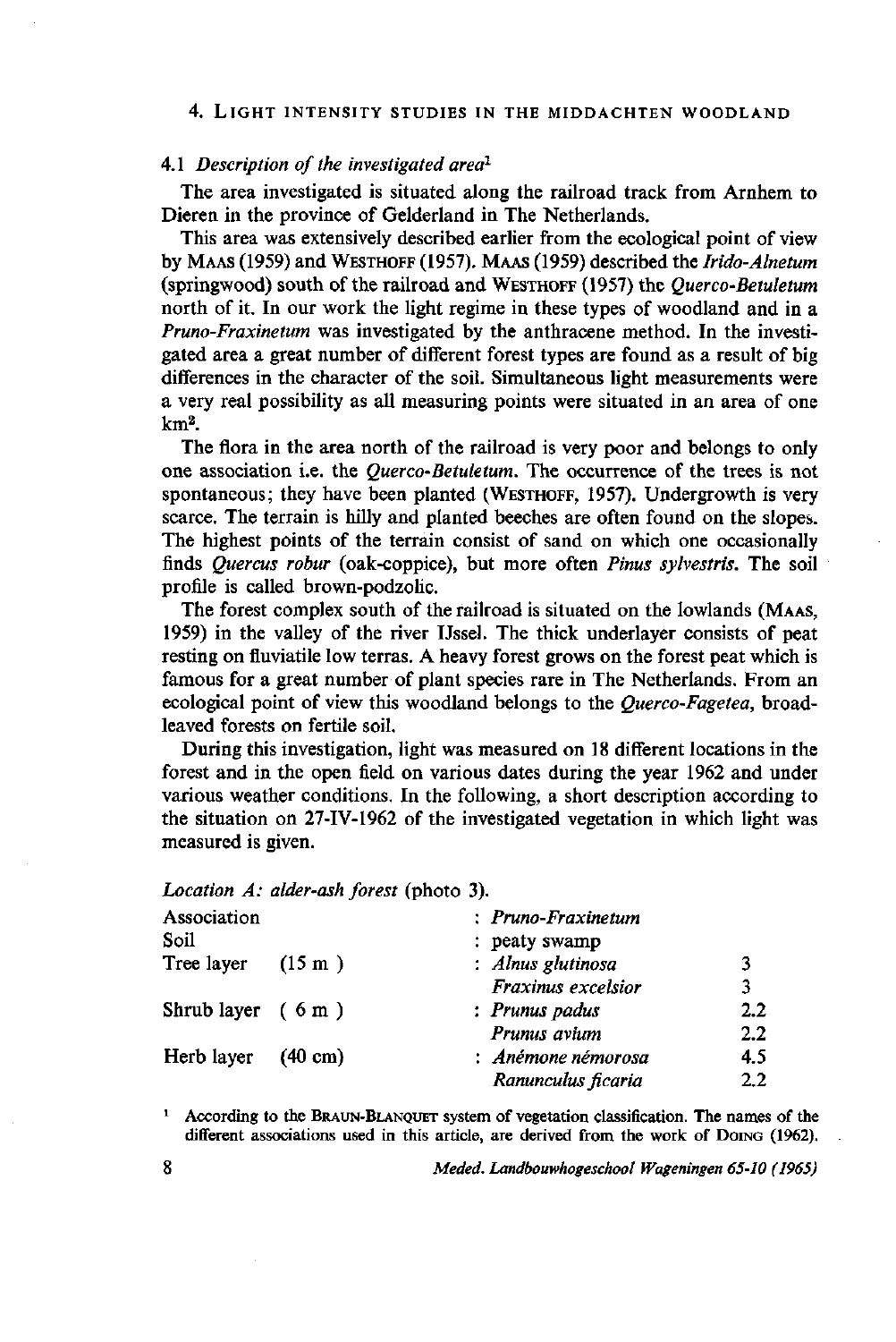#### 4. LIGHT INTENSITY STUDIES IN THE MIDDACHTEN WOODLAND

# 4.1 Description of the investigated ar

The area investigated is situated along the railroad track from Arnhem to Dieren in the province of Gelderland in The Netherlands.

This area was extensively described earlier from the ecological point of view by MAAS (1959) and WESTHOFF (1957). MAAS (1959) described the *Irido-Alnetum*  (springwood) south of the railroad and WESTHOFF (1957) the *Querco-Betuletum*  north of it. In our work the light regime in these types of woodland and in a *Pruno-Fraxinetum* was investigated by the anthracene method. In the investigated area a great number of different forest types are found as a result of big differences in the character of the soil. Simultaneous light measurements were a very real possibility as all measuring points were situated in an area of one km<sup>2</sup> .

The flora in the area north of the railroad is very poor and belongs to only one association i.e. the *Querco-Betuletum.* The occurrence of the trees is not spontaneous; they have been planted (WESTHOFF, 1957). Undergrowth is very scarce. The terrain is hilly and planted beeches are often found on the slopes. The highest points of the terrain consist of sand on which one occasionally finds *Quercus robur* (oak-coppice), but more often *Pinus sylvestris.* The soil profile is called brown-podzolic.

The forest complex south of the railroad is situated on the lowlands (MAAS, 1959) in the valley of the river IJssel. The thick underlayer consists of peat resting on fluviatile low terras. A heavy forest grows on the forest peat which is famous for a great number of plant species rare in The Netherlands. From an ecological point of view this woodland belongs to the *Querco-Fagetea,* broadleaved forests on fertile soil.

During this investigation, light was measured on 18 different locations in the forest and in the open field on various dates during the year 1962 and under various weather conditions. In the following, a short description according to the situation on 27-IV-1962 of the investigated vegetation in which light was measured is given.

Location A: alder-ash forest (photo 3).

| Association                  | $: Pruno-Frazinetum$ |         |
|------------------------------|----------------------|---------|
| Soil                         | : peaty swamp        |         |
| Tree layer $(15 \text{ m})$  | : Alnus glutinosa    | 3       |
|                              | Fraxinus excelsior   | 3       |
| Shrub layer $(6m)$           | : Prunus padus       | $2.2\,$ |
|                              | Prunus avium         | 2.2     |
| Herb layer $(40 \text{ cm})$ | : Anémone némorosa   | 4.5     |
|                              | Ranunculus ficaria   | $2.2\,$ |

<sup>1</sup> According to the BRAUN-BLANQUET system of vegetation classification. The names of the different associations used in this article, are derived from the work of DoING (1962).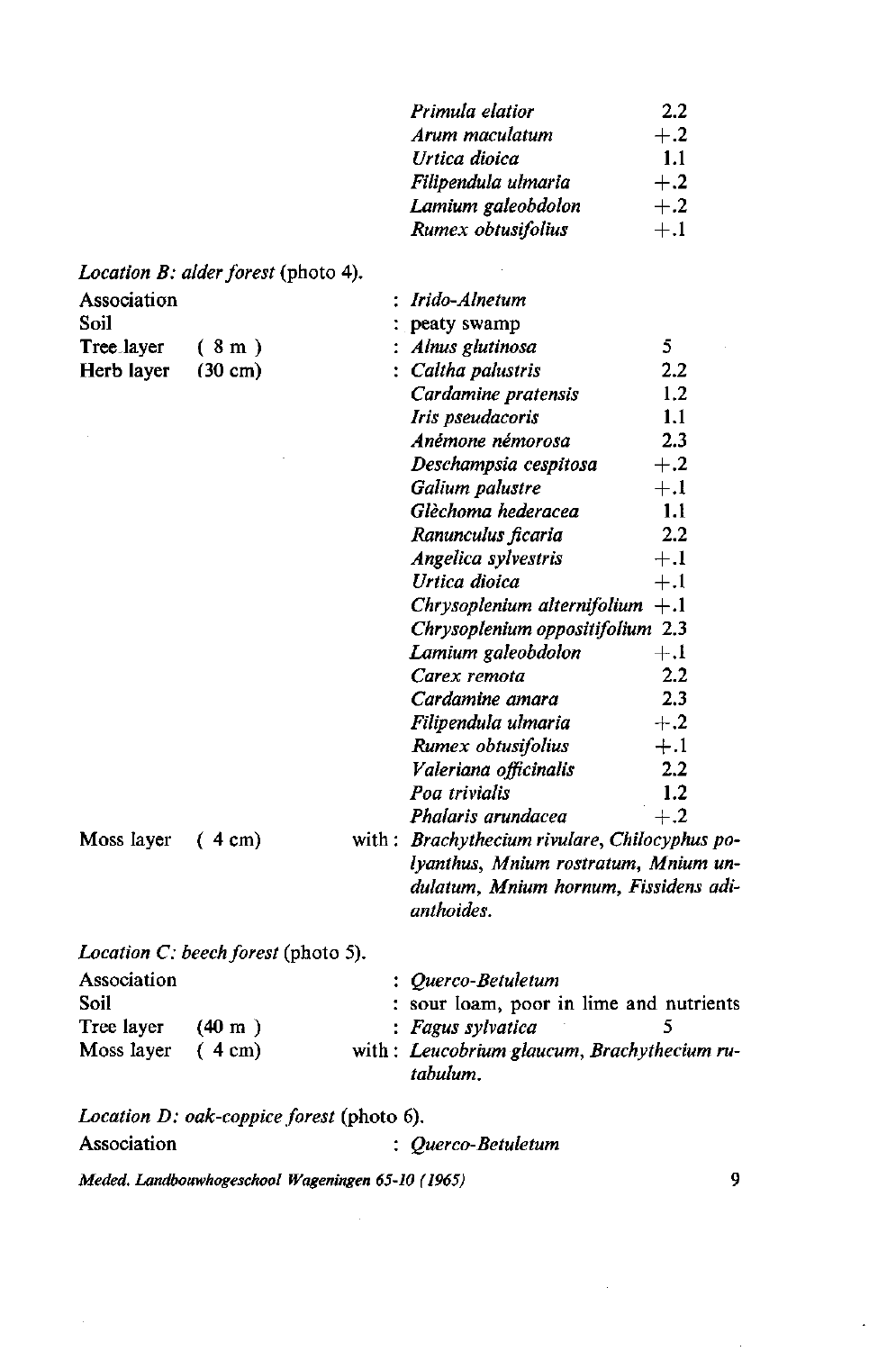| Arum maculatum<br>$+.2$<br>Urtica dioica<br>1.1<br>$+.2$<br>Filipendula ulmaria<br>Lamium galeobdolon<br>$+.2$<br>Rumex obtusifolius<br>$+.1$<br>Location B: alder forest (photo 4).<br>Association<br>: Irido-Alnetum<br>Soil<br>peaty swamp<br>5<br>Alnus glutinosa<br>Tree <sub>-layer</sub><br>(8m)<br>2.2<br>: Caltha palustris<br>Herb layer<br>$(30 \text{ cm})$<br>1.2<br>Cardamine pratensis<br>1.1<br>Iris pseudacoris<br>2.3<br>Anémone némorosa<br>Deschampsia cespitosa<br>Galium palustre<br>$+.1$<br>Glèchoma hederacea<br>1.1<br>Ranunculus ficaria<br>Angelica sylvestris<br>$+.1$<br>Urtica dioica<br>$+.1$<br>Chrysoplenium alternifolium $+1$<br>Chrysoplenium oppositifolium 2.3<br>$+.1$<br>Lamium galeobdolon<br>Carex remota<br>Cardamine amara<br>Filipendula ulmaria<br>Rumex obtusifolius<br>Valeriana officinalis<br>1.2<br>Poa trivialis<br>Phalaris arundacea<br>$+.2$<br>Brachythecium rivulare, Chilocyphus p<br>Moss layer<br>$(4 \text{ cm})$<br>with :<br>lyanthus, Mnium rostratum, Mnium t<br>dulatum, Mnium hornum, Fissidens a<br>anthoides. |  | Primula elatior | 2.2   |
|-------------------------------------------------------------------------------------------------------------------------------------------------------------------------------------------------------------------------------------------------------------------------------------------------------------------------------------------------------------------------------------------------------------------------------------------------------------------------------------------------------------------------------------------------------------------------------------------------------------------------------------------------------------------------------------------------------------------------------------------------------------------------------------------------------------------------------------------------------------------------------------------------------------------------------------------------------------------------------------------------------------------------------------------------------------------------------------|--|-----------------|-------|
|                                                                                                                                                                                                                                                                                                                                                                                                                                                                                                                                                                                                                                                                                                                                                                                                                                                                                                                                                                                                                                                                                     |  |                 |       |
|                                                                                                                                                                                                                                                                                                                                                                                                                                                                                                                                                                                                                                                                                                                                                                                                                                                                                                                                                                                                                                                                                     |  |                 |       |
|                                                                                                                                                                                                                                                                                                                                                                                                                                                                                                                                                                                                                                                                                                                                                                                                                                                                                                                                                                                                                                                                                     |  |                 |       |
|                                                                                                                                                                                                                                                                                                                                                                                                                                                                                                                                                                                                                                                                                                                                                                                                                                                                                                                                                                                                                                                                                     |  |                 |       |
|                                                                                                                                                                                                                                                                                                                                                                                                                                                                                                                                                                                                                                                                                                                                                                                                                                                                                                                                                                                                                                                                                     |  |                 |       |
|                                                                                                                                                                                                                                                                                                                                                                                                                                                                                                                                                                                                                                                                                                                                                                                                                                                                                                                                                                                                                                                                                     |  |                 |       |
|                                                                                                                                                                                                                                                                                                                                                                                                                                                                                                                                                                                                                                                                                                                                                                                                                                                                                                                                                                                                                                                                                     |  |                 |       |
|                                                                                                                                                                                                                                                                                                                                                                                                                                                                                                                                                                                                                                                                                                                                                                                                                                                                                                                                                                                                                                                                                     |  |                 |       |
|                                                                                                                                                                                                                                                                                                                                                                                                                                                                                                                                                                                                                                                                                                                                                                                                                                                                                                                                                                                                                                                                                     |  |                 |       |
|                                                                                                                                                                                                                                                                                                                                                                                                                                                                                                                                                                                                                                                                                                                                                                                                                                                                                                                                                                                                                                                                                     |  |                 |       |
|                                                                                                                                                                                                                                                                                                                                                                                                                                                                                                                                                                                                                                                                                                                                                                                                                                                                                                                                                                                                                                                                                     |  |                 |       |
|                                                                                                                                                                                                                                                                                                                                                                                                                                                                                                                                                                                                                                                                                                                                                                                                                                                                                                                                                                                                                                                                                     |  |                 |       |
|                                                                                                                                                                                                                                                                                                                                                                                                                                                                                                                                                                                                                                                                                                                                                                                                                                                                                                                                                                                                                                                                                     |  |                 |       |
|                                                                                                                                                                                                                                                                                                                                                                                                                                                                                                                                                                                                                                                                                                                                                                                                                                                                                                                                                                                                                                                                                     |  |                 | $+.2$ |
|                                                                                                                                                                                                                                                                                                                                                                                                                                                                                                                                                                                                                                                                                                                                                                                                                                                                                                                                                                                                                                                                                     |  |                 |       |
|                                                                                                                                                                                                                                                                                                                                                                                                                                                                                                                                                                                                                                                                                                                                                                                                                                                                                                                                                                                                                                                                                     |  |                 |       |
|                                                                                                                                                                                                                                                                                                                                                                                                                                                                                                                                                                                                                                                                                                                                                                                                                                                                                                                                                                                                                                                                                     |  |                 | 2.2   |
|                                                                                                                                                                                                                                                                                                                                                                                                                                                                                                                                                                                                                                                                                                                                                                                                                                                                                                                                                                                                                                                                                     |  |                 |       |
|                                                                                                                                                                                                                                                                                                                                                                                                                                                                                                                                                                                                                                                                                                                                                                                                                                                                                                                                                                                                                                                                                     |  |                 |       |
|                                                                                                                                                                                                                                                                                                                                                                                                                                                                                                                                                                                                                                                                                                                                                                                                                                                                                                                                                                                                                                                                                     |  |                 |       |
|                                                                                                                                                                                                                                                                                                                                                                                                                                                                                                                                                                                                                                                                                                                                                                                                                                                                                                                                                                                                                                                                                     |  |                 |       |
|                                                                                                                                                                                                                                                                                                                                                                                                                                                                                                                                                                                                                                                                                                                                                                                                                                                                                                                                                                                                                                                                                     |  |                 |       |
|                                                                                                                                                                                                                                                                                                                                                                                                                                                                                                                                                                                                                                                                                                                                                                                                                                                                                                                                                                                                                                                                                     |  |                 | 2.2   |
|                                                                                                                                                                                                                                                                                                                                                                                                                                                                                                                                                                                                                                                                                                                                                                                                                                                                                                                                                                                                                                                                                     |  |                 | 2,3   |
|                                                                                                                                                                                                                                                                                                                                                                                                                                                                                                                                                                                                                                                                                                                                                                                                                                                                                                                                                                                                                                                                                     |  |                 | $+.2$ |
|                                                                                                                                                                                                                                                                                                                                                                                                                                                                                                                                                                                                                                                                                                                                                                                                                                                                                                                                                                                                                                                                                     |  |                 | $+.1$ |
|                                                                                                                                                                                                                                                                                                                                                                                                                                                                                                                                                                                                                                                                                                                                                                                                                                                                                                                                                                                                                                                                                     |  |                 | 2.2   |
|                                                                                                                                                                                                                                                                                                                                                                                                                                                                                                                                                                                                                                                                                                                                                                                                                                                                                                                                                                                                                                                                                     |  |                 |       |
|                                                                                                                                                                                                                                                                                                                                                                                                                                                                                                                                                                                                                                                                                                                                                                                                                                                                                                                                                                                                                                                                                     |  |                 |       |
|                                                                                                                                                                                                                                                                                                                                                                                                                                                                                                                                                                                                                                                                                                                                                                                                                                                                                                                                                                                                                                                                                     |  |                 |       |
|                                                                                                                                                                                                                                                                                                                                                                                                                                                                                                                                                                                                                                                                                                                                                                                                                                                                                                                                                                                                                                                                                     |  |                 |       |
|                                                                                                                                                                                                                                                                                                                                                                                                                                                                                                                                                                                                                                                                                                                                                                                                                                                                                                                                                                                                                                                                                     |  |                 |       |

*Location C: beech forest* (photo 5).

| $(40 \text{ m})$            |  |                                                                                                                                                 |
|-----------------------------|--|-------------------------------------------------------------------------------------------------------------------------------------------------|
| Moss layer $(4 \text{ cm})$ |  |                                                                                                                                                 |
|                             |  | $:$ Querco-Betuletum<br>: sour loam, poor in lime and nutrients<br>: Fagus sylvatica<br>with: Leucobrium glaucum, Brachythecium ru-<br>tabulum. |

*Location D: oak-coppice forest* (photo 6). Association : *Querco-Betuletum*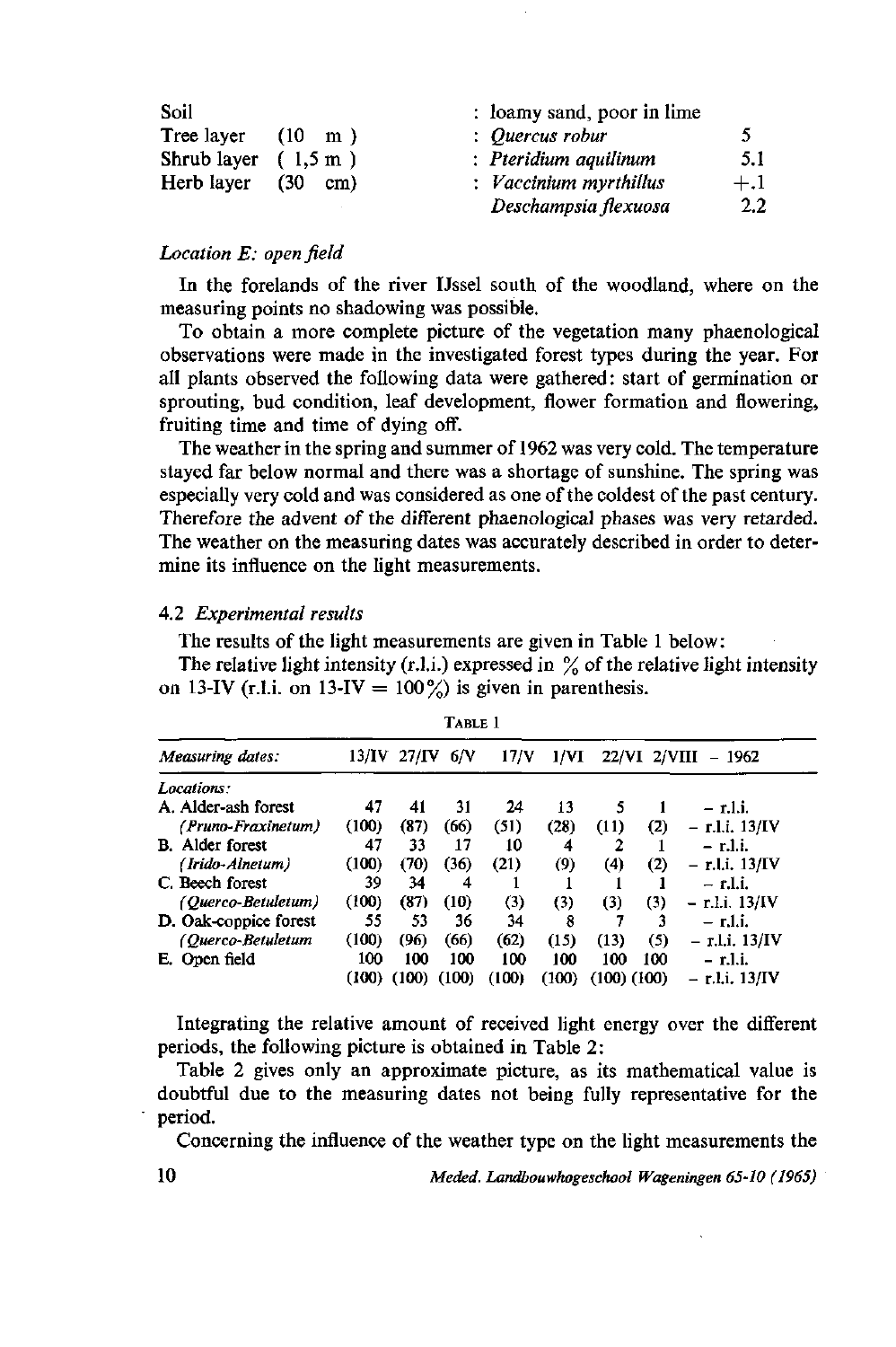| Soil                           |                          | : loamy sand, poor in lime |               |
|--------------------------------|--------------------------|----------------------------|---------------|
| Tree layer                     | $(10 \text{ m})$         | : Quercus robur            | 5             |
| Shrub layer $(1, 5 \text{ m})$ |                          | : Pteridium aquilinum      | 51            |
| Herb layer                     | <b>C30</b><br>$\rm cm$ ) | : Vaccinium myrthillus     | $+.1$         |
|                                |                          | Deschampsia flexuosa       | $2.2^{\circ}$ |

## *Location E: open field*

In the forelands of the river IJssel south of the woodland, where on the measuring points no shadowing was possible.

To obtain a more complete picture of the vegetation many phaenological observations were made in the investigated forest types during the year. For all plants observed the following data were gathered: start of germination or sprouting, bud condition, leaf development, flower formation and flowering, fruiting time and time of dying off.

The weather in the spring and summer of 1962 was very cold. The temperature stayed far below normal and there was a shortage of sunshine. The spring was especially very cold and was considered as one of the coldest of the past century. Therefore the advent of the different phaenological phases was very retarded. The weather on the measuring dates was accurately described in order to determine its influence on the light measurements.

#### 4.2 *Experimental results*

The results of the light measurements are given in Table 1 below:

The relative light intensity (r.l.i.) expressed in  $\%$  of the relative light intensity on 13-IV (r.l.i. on 13-IV =  $100\frac{\%}{60}$  is given in parenthesis.

| Table 1                |        |                      |                 |       |       |                 |              |                                          |  |
|------------------------|--------|----------------------|-----------------|-------|-------|-----------------|--------------|------------------------------------------|--|
| Measuring dates:       |        | $13/\text{IV}$ 27/IV | 6/N             | 17/V  | 1/VI  |                 | 22/VI 2/VIII | - 1962                                   |  |
| Locations:             |        |                      |                 |       |       |                 |              |                                          |  |
| A. Alder-ash forest    | 47     | 41                   | 31              | 24    | 13    |                 |              | – r.l.i.                                 |  |
| (Pruno-Fraxinetum)     | (100)  | (87)                 | (66)            | (51)  | (28)  | (11)            | (2)          | – r.l.i. 13/IV                           |  |
| <b>B.</b> Alder forest | 47     | 33                   | 17              | 10    | 4     |                 |              | – r.l.i.                                 |  |
| (Irido-Alnetum)        | (100)  | (70)                 | (36)            | (21)  | (9)   | (4)             | (2)          | – r.l.i. 13/IV                           |  |
| C. Beech forest        | 39     | 34                   | 4               |       |       |                 |              | – r.l.i.                                 |  |
| (Querco-Betuletum)     | (100)  | (87)                 | (10)            | (3)   | (3)   | (3)             | (3)          | r.l.i. 13/IV<br>$\overline{\phantom{0}}$ |  |
| D. Oak-coppice forest  | 55     | 53                   | 36              | 34    | 8     |                 |              | – r.l.i.                                 |  |
| (Querco-Betuletum      | (100)  | (96)                 | (66)            | (62)  | (15)  | (13)            | (5)          | – r.l.i. 13/IV                           |  |
| E. Open field          | 100    | 100                  | 100             | 100   | 100   | 100             | 100          | – r.l.i.                                 |  |
|                        | (100). |                      | $(100)$ $(100)$ | (100) | (100) | $(100)$ $(100)$ |              | – r.l.i. 13/IV                           |  |

Integrating the relative amount of received light energy over the different periods, the following picture is obtained in Table 2:

Table 2 gives only an approximate picture, as its mathematical value is doubtful due to the measuring dates not being fully representative for the period.

Concerning the influence of the weather type on the light measurements the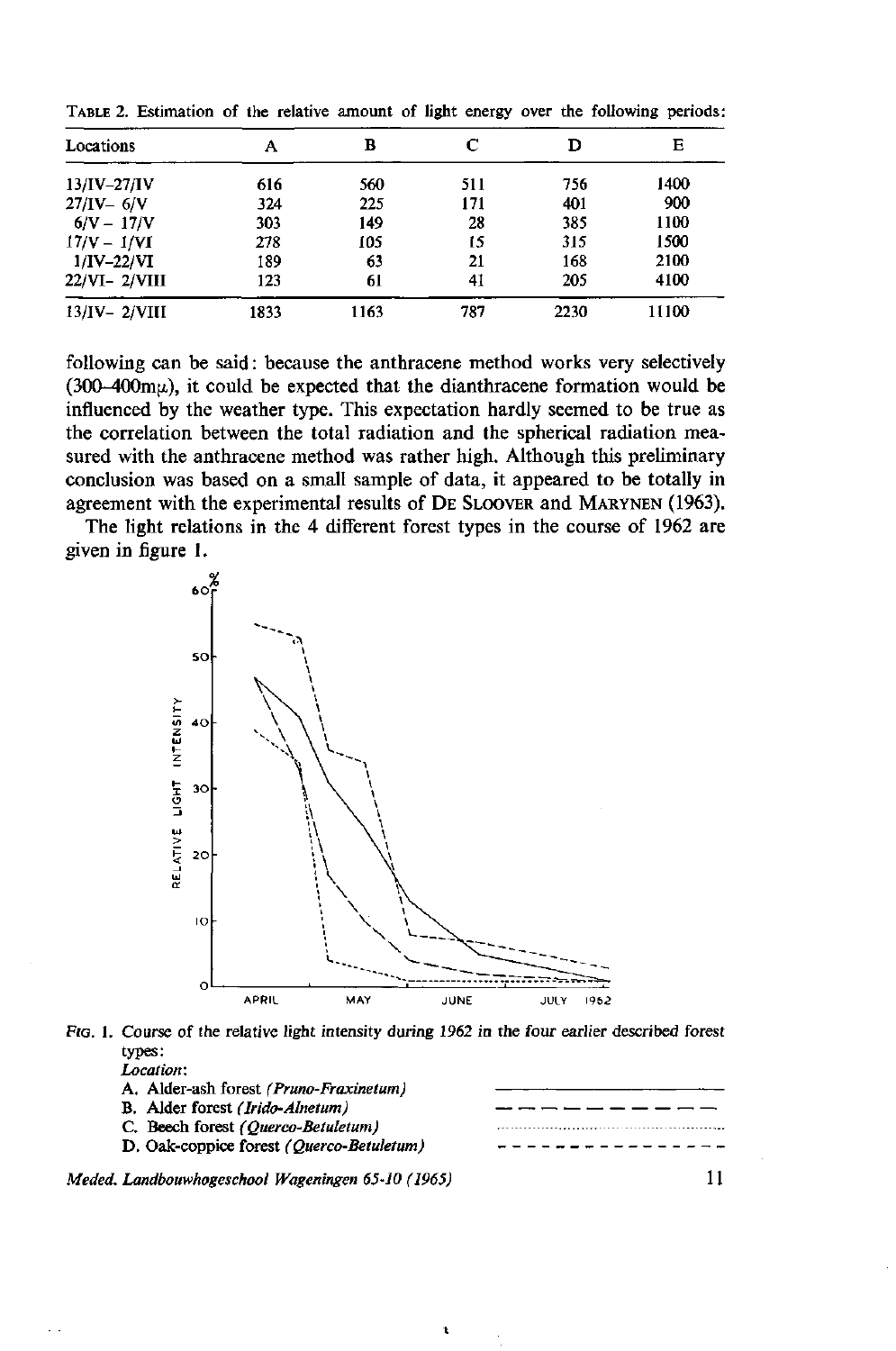| Locations        | А    | в    | С   | D    | Е     |
|------------------|------|------|-----|------|-------|
| $13/IV - 27/IV$  | 616  | 560  | 511 | 756  | 1400  |
| $27/IV - 6/V$    | 324  | 225  | 171 | 401  | 900   |
| $6/V - 17/V$     | 303  | 149  | 28  | 385  | 1100  |
| $17/V - 1/VI$    | 278  | 105  | 15  | 315  | 1500  |
| $1/IV-22/VI$     | 189  | 63   | 21  | 168  | 2100  |
| $22/VI - 2/VIII$ | 123  | 61   | 41  | 205  | 4100  |
| $13/IV - 2/VIII$ | 1833 | 1163 | 787 | 2230 | 11100 |

TABLE 2. Estimation of the relative amount of light energy over the following periods:

following can be said: because the anthracene method works very selectively  $(300-400 \text{m})$ , it could be expected that the dianthracene formation would be influenced by the weather type. This expectation hardly seemed to be true as the correlation between the total radiation and the spherical radiation measured with the anthracene method was rather high. Although this preliminary conclusion was based on a small sample of data, it appeared to be totally in agreement with the experimental results of DE SLOOVER and MARYNEN (1963).

The light relations in the 4 different forest types in the course of 1962 are given in figure 1.





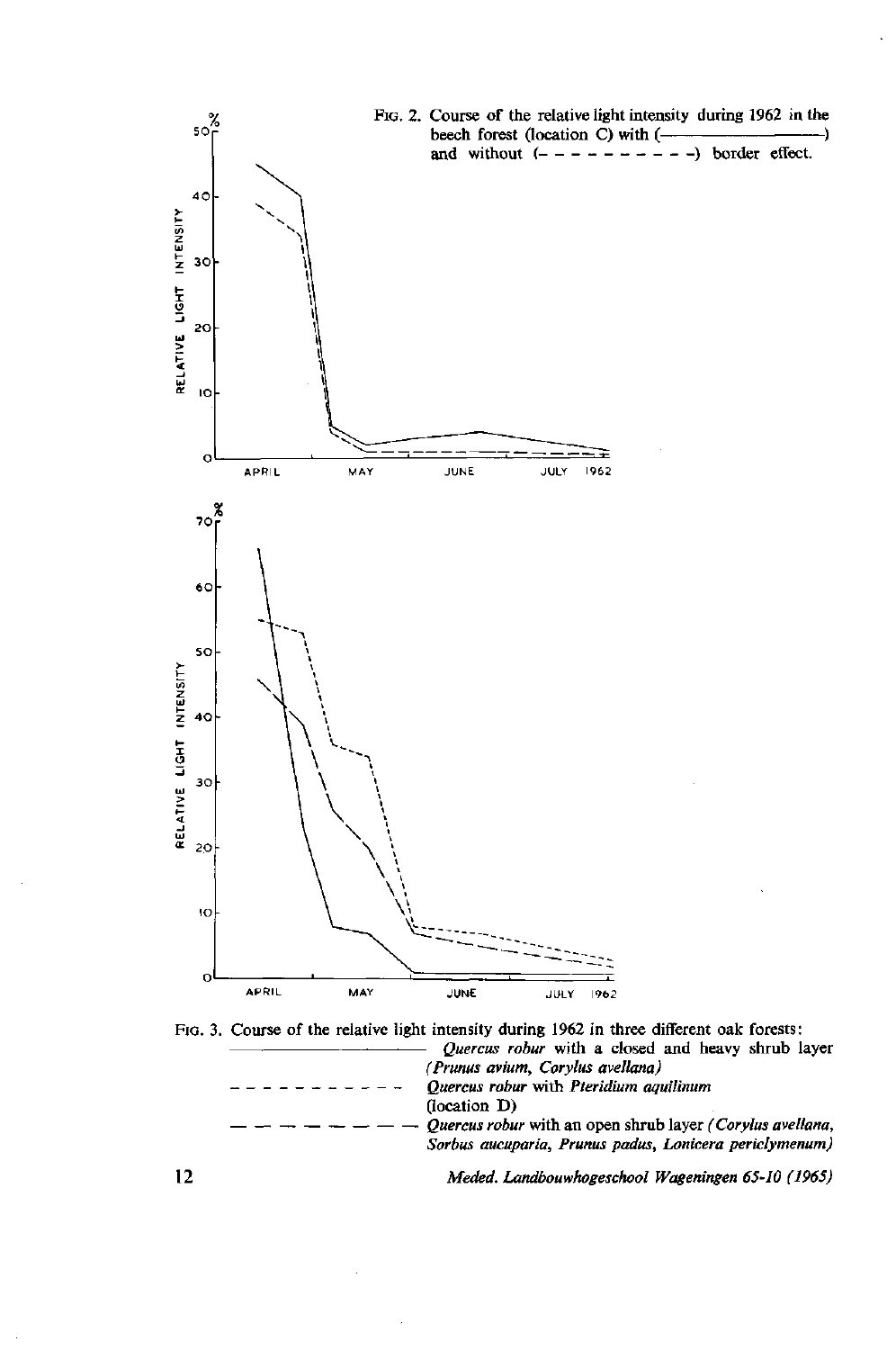





**12** *Meded. Landbouwhogeschool Wageningen 65-10 (1965)* 

-)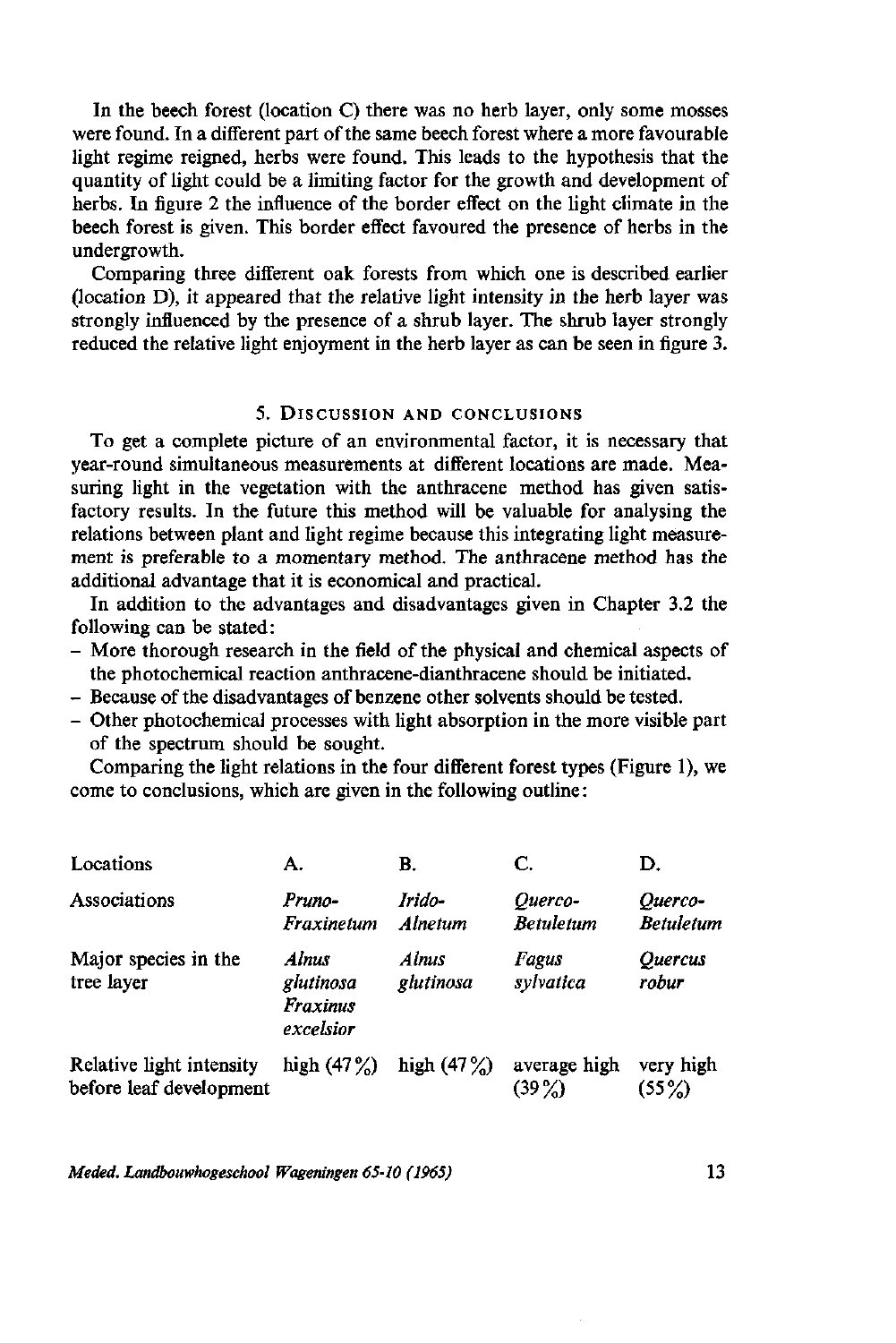In the beech forest (location C) there was no herb layer, only some mosses were found. In a different part of the same beech forest where a more favourable light regime reigned, herbs were found. This leads to the hypothesis that the quantity of light could be a limiting factor for the growth and development of herbs. In figure 2 the influence of the border effect on the light climate in the beech forest is given. This border effect favoured the presence of herbs in the undergrowth.

Comparing three different oak forests from which one is described earlier (location D), it appeared that the relative light intensity in the herb layer was strongly influenced by the presence of a shrub layer. The shrub layer strongly reduced the relative light enjoyment in the herb layer as can be seen in figure 3.

## 5. DISCUSSION AND CONCLUSIONS

To get a complete picture of an environmental factor, it is necessary that year-round simultaneous measurements at different locations are made. Measuring light in the vegetation with the anthracene method has given satisfactory results. In the future this method will be valuable for analysing the relations between plant and light regime because this integrating light measurement is preferable to a momentary method. The anthracene method has the additional advantage that it is economical and practical.

In addition to the advantages and disadvantages given in Chapter 3.2 the following can be stated:

- More thorough research in the field of the physical and chemical aspects of the photochemical reaction anthracene-dianthracene should be initiated.
- Because of the disadvantages of benzene other solvents should be tested.
- Other photochemical processes with light absorption in the more visible part of the spectrum should be sought.

Comparing the light relations in the four different forest types (Figure 1), we come to conclusions, which are given in the following outline :

| Locations                                           | А.                                                 | B.                 | C.                          | D.                             |
|-----------------------------------------------------|----------------------------------------------------|--------------------|-----------------------------|--------------------------------|
| Associations                                        | Pruno-<br>Fraxinetum                               | Irido-<br>Alnetum  | Ouerco-<br><b>Betuletum</b> | Ouerco-<br><b>Betuletum</b>    |
| Major species in the<br>tree layer                  | <b>Almus</b><br>glutinosa<br>Fraxinus<br>excelsior | Alnus<br>glutinosa | Fagus<br>sylvatica          | <i><b>Ouercus</b></i><br>robur |
| Relative light intensity<br>before leaf development | high $(47%)$                                       | high $(47\%)$      | average high<br>$(39\%)$    | very high<br>$(55\%)$          |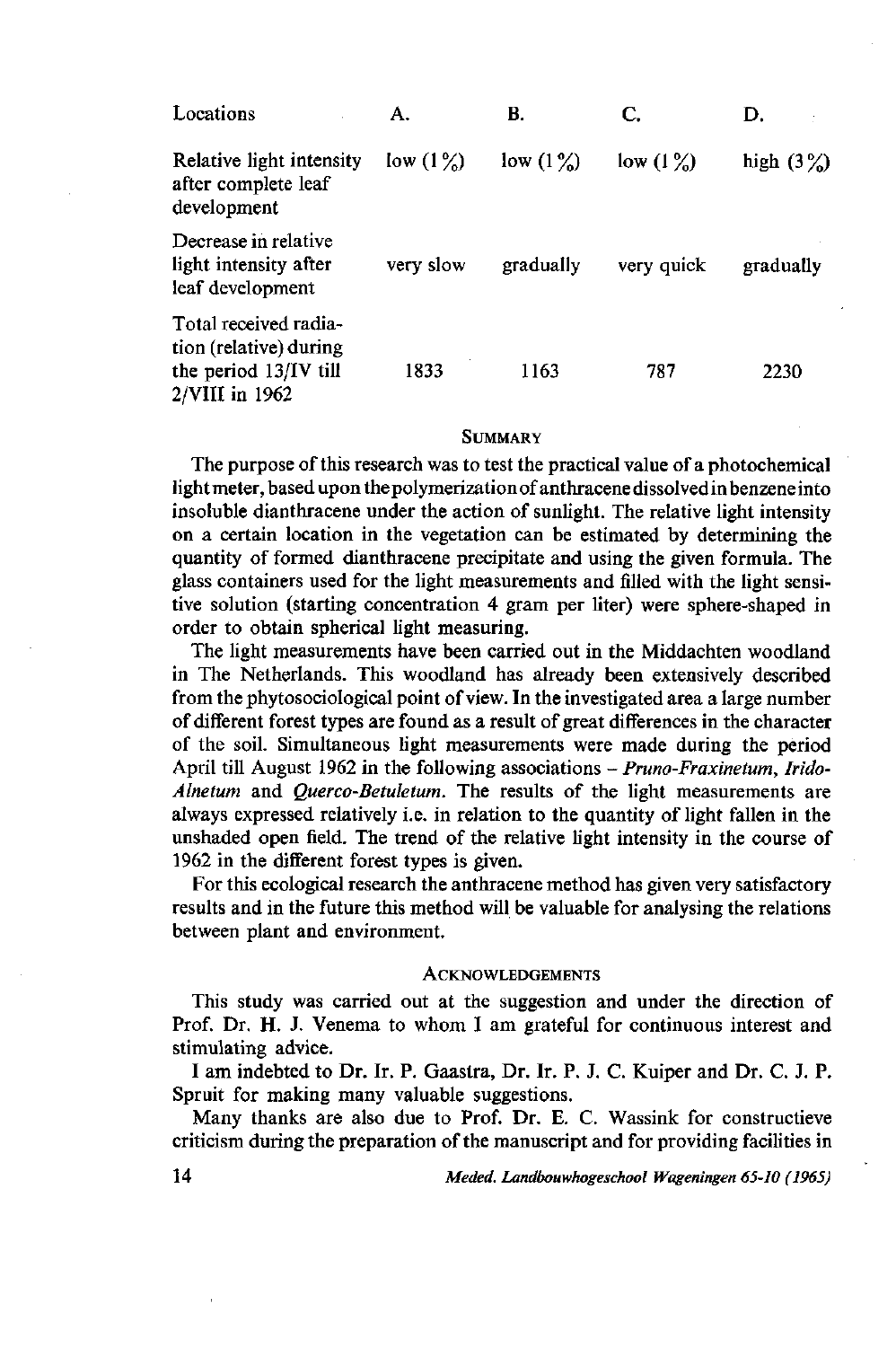| Locations                                                                                  | А.          | В.          | C.          | D.           |
|--------------------------------------------------------------------------------------------|-------------|-------------|-------------|--------------|
| Relative light intensity<br>after complete leaf<br>development                             | low $(1\%)$ | low $(1\%)$ | low $(1\%)$ | high $(3\%)$ |
| Decrease in relative<br>light intensity after<br>leaf development                          | very slow   | gradually   | very quick  | gradually    |
| Total received radia-<br>tion (relative) during<br>the period 13/IV till<br>2/VIII in 1962 | 1833        | 1163        | 787         | 2230         |

#### **SUMMARY**

The purpose of this research was to test the practical value of a photochemical light meter, based upon the polymerization of anthracene dissolved in benzene into insoluble dianthracene under the action of sunlight. The relative light intensity on a certain location in the vegetation can be estimated by determining the quantity of formed dianthracene precipitate and using the given formula. The glass containers used for the light measurements and filled with the light sensitive solution (starting concentration 4 gram per liter) were sphere-shaped in order to obtain spherical light measuring.

The light measurements have been carried out in the Middachten woodland in The Netherlands. This woodland has already been extensively described from the phytosociological point of view. In the investigated area a large number of different forest types are found as a result of great differences in the character of the soil. Simultaneous light measurements were made during the period April till August 1962 in the following associations - *Pruno-Fraxinetum, Irido-Alnetum* and *Querco-Betuletum.* The results of the light measurements are always expressed relatively i.e. in relation to the quantity of light fallen in the unshaded open field. The trend of the relative light intensity in the course of 1962 in the different forest types is given.

For this ecological research the anthracene method has given very satisfactory results and in the future this method will be valuable for analysing the relations between plant and environment.

#### **ACKNOWLEDGEMENTS**

This study was carried out at the suggestion and under the direction of Prof. Dr. H. J. Venema to whom I am grateful for continuous interest and stimulating advice.

I am indebted to Dr. Ir. P. Gaastra, Dr. Ir. P. J. C. Kuiper and Dr. C. J. P. Spruit for making many valuable suggestions.

Many thanks are also due to Prof. Dr. E. C. Wassink for constructieve criticism during the preparation of the manuscript and for providing facilities in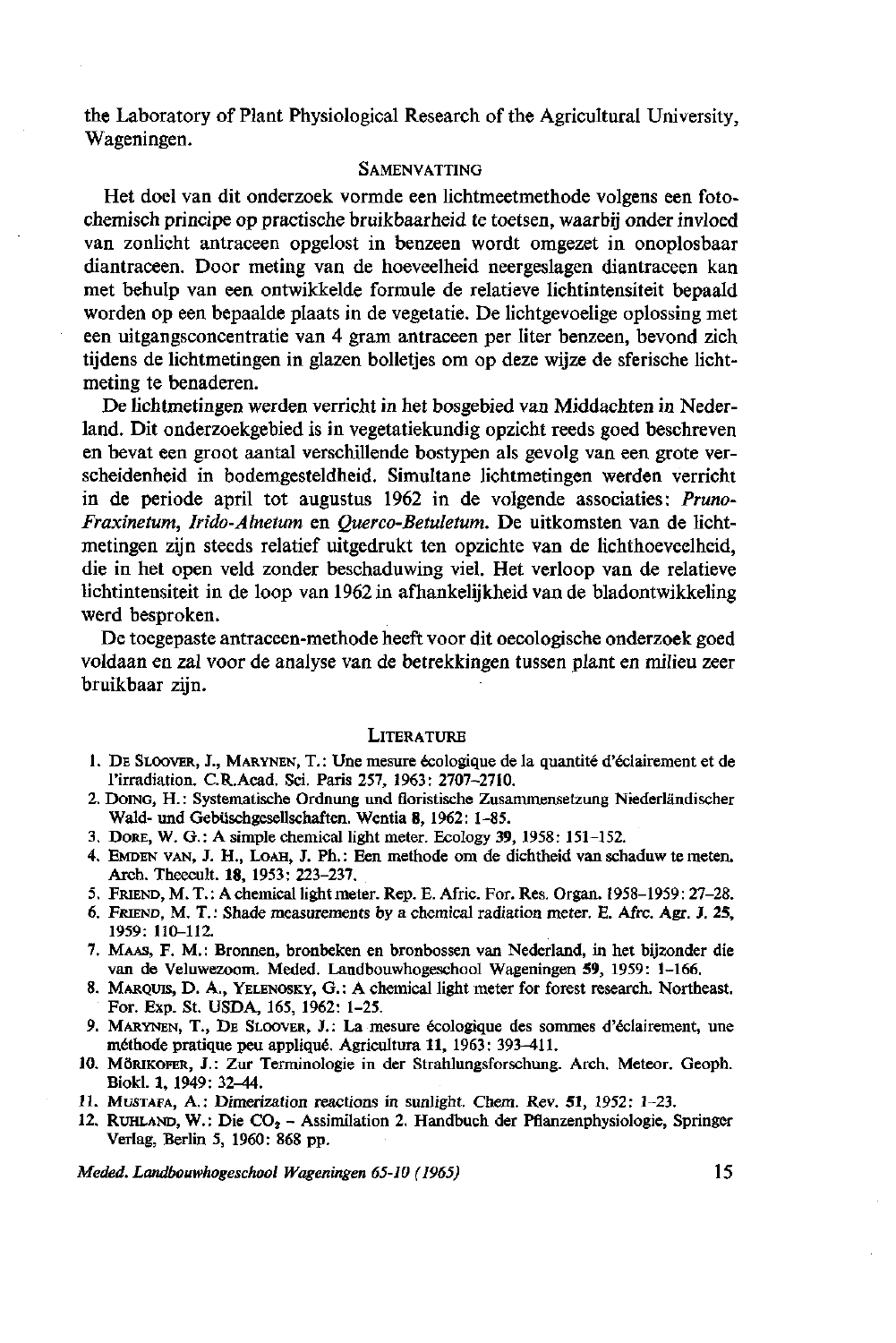the Laboratory of Plant Physiological Research of the Agricultural University, Wageningen.

#### **SAMENVATTING**

Het doel van dit onderzoek vormde een lichtmeetmethode volgens een fotochemisch principe op practische bruikbaarheid te toetsen, waarbij onder invloed van zonlicht antraceen opgelost in benzeen wordt omgezet in onoplosbaar diantraceen. Door meting van de hoeveelheid neergeslagen diantraceen kan met behulp van een ontwikkelde formule de relatieve lichtintensiteit bepaald worden op een bepaalde plaats in de vegetatie. De lichtgevoelige oplossing met een uitgangsconcentratie van 4 gram antraceen per liter benzeen, bevond zich tijdens de lichtmetingen in glazen bolletjes om op deze wijze de sferische lichtmeting te benaderen.

De lichtmetingen werden verricht in het bosgebied van Middachten in Nederland. Dit onderzoekgebied is in vegetatiekundig opzicht reeds goed beschreven en bevat een groot aantal verschillende bostypen als gevolg van een grote verscheidenheid in bodemgesteldheid. Simultane lichtmetingen werden verricht in de periode april tot augustus 1962 in de volgende associaties: *Pruno-Fraxinetum, Irido-Alnetum* en *Querco-Betuletwn.* De uitkomsten van de lichtmetingen zijn steeds relatief uitgedrukt ten opzichte van de lichthoeveelheid, die in het open veld zonder beschaduwing viel. Het verloop van de relatieve lichtintensiteit in de loop van 1962 in afhankelijkheid van de bladontwikkeling werd besproken.

De toegepaste antraceen-methode heeft voor dit oecologische onderzoek goed voldaan en zal voor de analyse van de betrekkingen tussen plant en milieu zeer bruikbaar zijn.

#### **LITERATURE**

- 1. DE SLOOVER, J., MARYNEN, T.: Une mesure écologique de la quantité d'éclairement et de l'irradiation. C.R.Acad. Sei. Paris 257, 1963: 2707-2710.
- 2. DOING, H.: Systematische Ordnung und floristische Zusammensetzung Niederländischer Wald- und Gebüschgesellschaften. Wentia 8, 1962: 1-85.
- 3. DORE, W. G.: A simple chemical light meter. Ecology 39, 1958: 151-152.
- 4. EMDEN VAN, J. H., LOAH, J. Ph. : Een methode om de dichtheid van schaduw te meten. Arch. Theecult. 18, 1953: 223-237.
- 5. FRIEND, M. T. : A chemical light meter. Rep. E. Afric. For. Res. Organ. 1958-1959: 27-28.
- 6. FRIEND, M. T. : Shade measurements by a chemical radiation meter. E. Afrc. Agr. J. 25, 1959: 110-112.
- 7. MAAS, F. M. : Bronnen, bronbeken en bronbossen van Nederland, in het bijzonder die van de Veluwezoom. Meded. Landbouwhogeschool Wageningen 59, 1959: 1-166.
- 8. MARQUIS, D. A., YELENOSKY, G.: A chemical light meter for forest research. Northeast. For. Exp. St. USDA, 165, 1962: 1-25.
- 9. MARYNEN, T., DE SLOOVER, J.: La mesure écologique des sommes d'éclairement, une méthode pratique peu appliqué. Agricultura 11, 1963: 393-411.
- 10. MÖRIKOFER, J.: Zur Terminologie in der Strahlungsforschung. Arch. Meteor. Geoph. Biokl. 1, 1949: 32-44.
- 11. MUSTAFA, A.: Dimerization reactions in sunlight. Chem. Rev. 51, 1952: 1-23.
- 12. RUHLAND, W.: Die  $CO<sub>2</sub> Assimilation$  2. Handbuch der Pflanzenphysiologie, Springer Verlag, Berlin 5, 1960: 868 pp.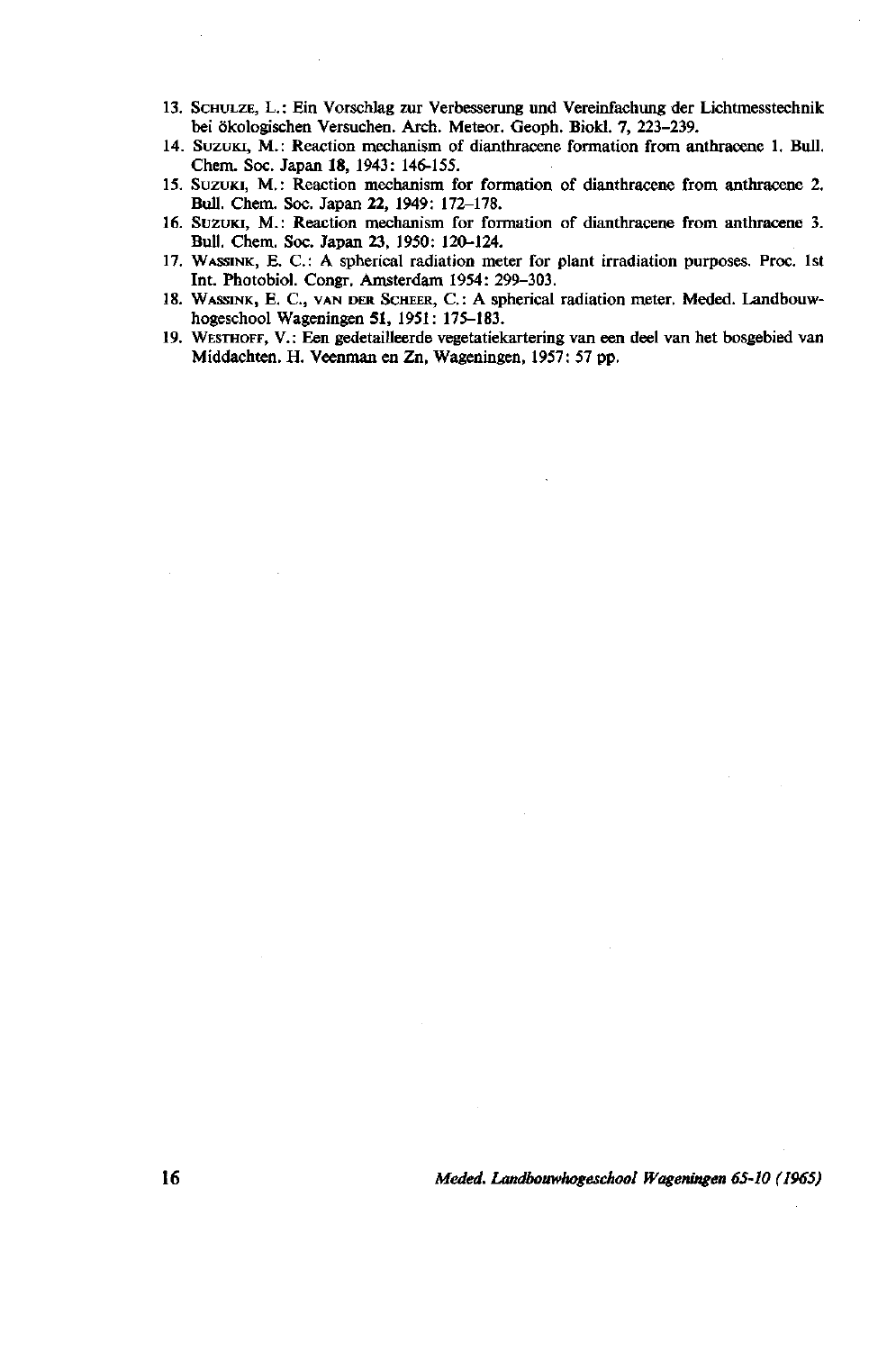- 13. SCHULZE, L.: Ein Vorschlag zur Verbesserung und Vereinfachung der Lichtmesstechnik: bei ökologischen Versuchen. Arch. Meteor. Geoph. Biokl. 7, 223-239.
- 14. SUZUKI, M.: Reaction mechanism of dianthracene formation from anthracene 1. Bull. Chem. Soc. Japan 18, 1943: 146-155.
- 15. SUZUKI, M. : Reaction mechanism for formation of dianthracene from anthracene 2. Bull. Chem. Soc. Japan 22, 1949: 172-178.
- 16. SUZUKI, M.: Reaction mechanism for formation of dianthracene from anthracene 3. Bull. Chem. Soc. Japan 23, 1950: 120-124.
- 17. WASSINK, E. C.: A spherical radiation meter for plant irradiation purposes. Proc. 1st Int. Photobiol. Congr. Amsterdam 1954: 299-303.
- 18. WASSINK, E. C., VAN DER SCHEER, C.: A spherical radiation meter. Meded. Landbouwhogeschool Wageningen 51, 1951: 175-183.
- 19. WESTHOFF, V.: Een gedetailleerde vegetatiekartering van een deel van het bosgebied van Middachten. H. Veenman en Zn, Wageningen, 1957: 57 pp.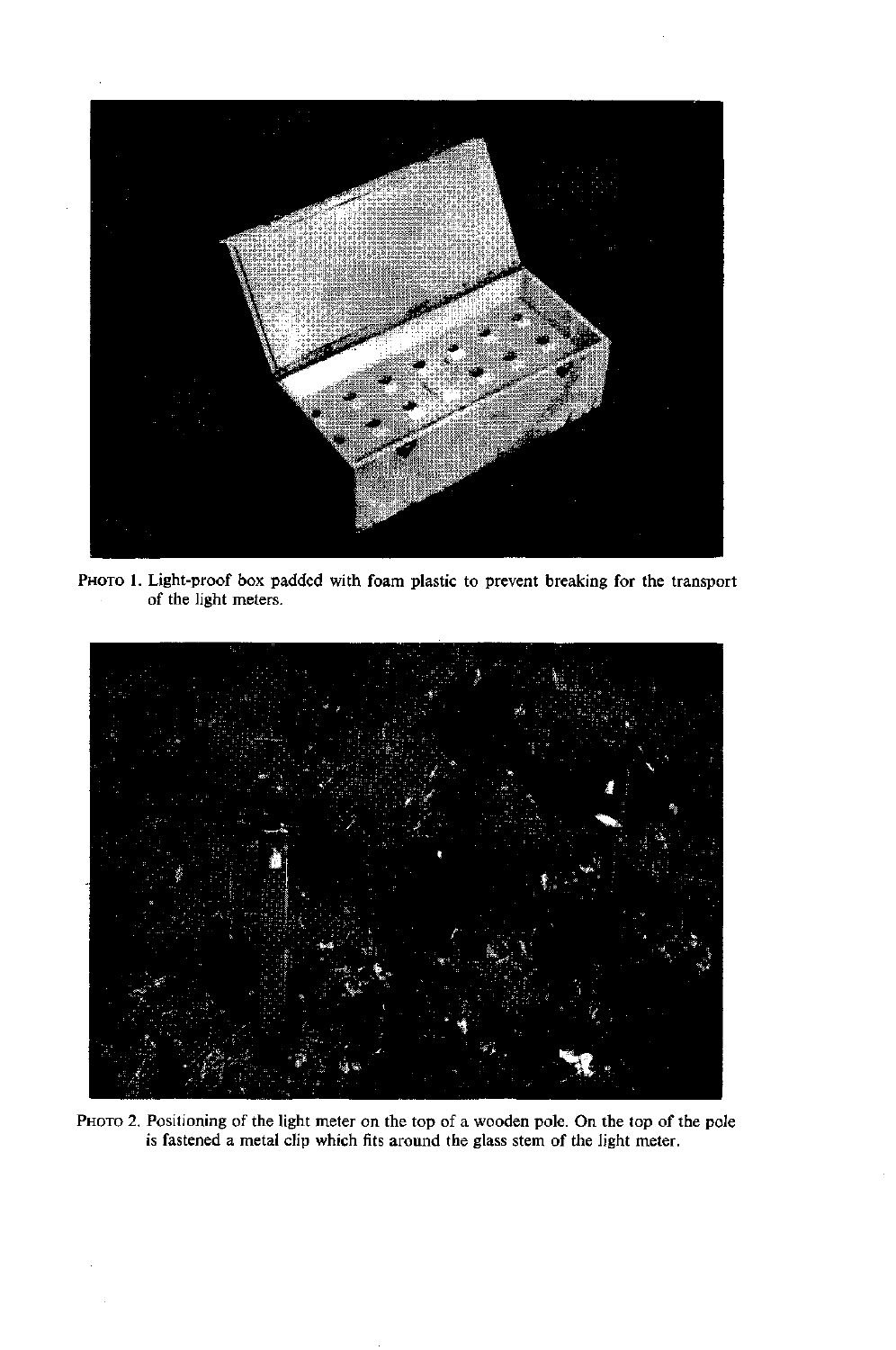

PHOTO 1. Light-proof box padded with foam plastic to prevent breaking for the transport of the light meters.



PHOTO 2. Positioning of the light meter on the top of a wooden pole. On the top of the pole is fastened a metal clip which fits around the glass stem of the light meter.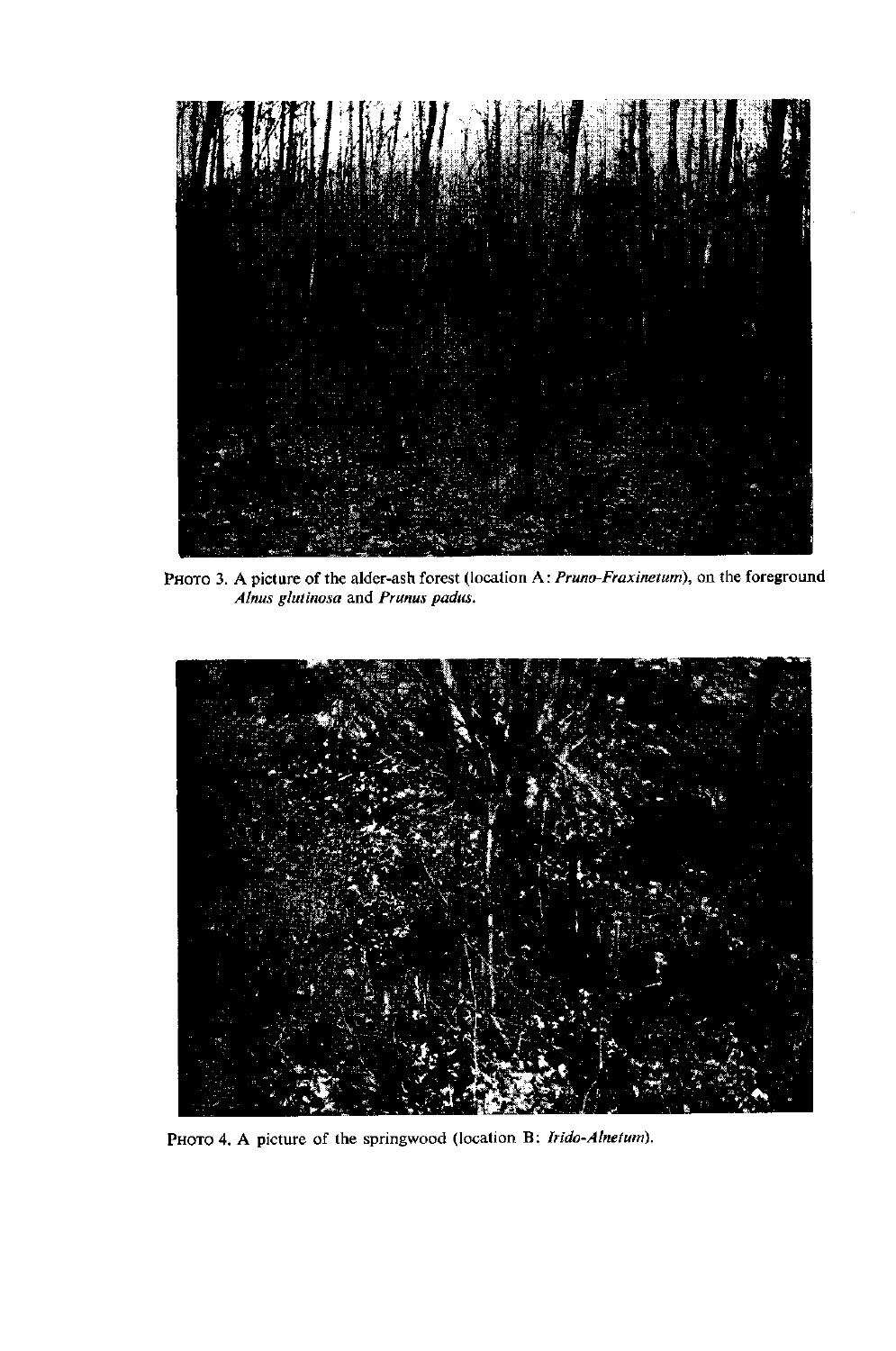

PHOTO 3. A picture of the alder-ash forest (location A: *Pruno-Fraxinetum*), on the fore *Alnus glutinosa* and *Prunus padus.* 



PHOTO 4. A picture of the springwood (location B: *Irido-Alnetum)*